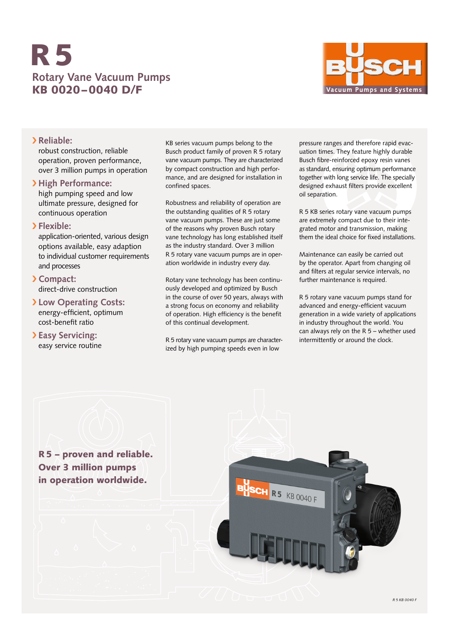# **Rotary Vane Vacuum Pumps** KB 0020–0040 D/F R5



### › **Reliable:**

robust construction, reliable operation, proven performance, over 3 million pumps in operation

### › **High Performance:**

high pumping speed and low ultimate pressure, designed for continuous operation

### › **Flexible:**

application-oriented, various design options available, easy adaption to individual customer requirements and processes

### › **Compact:** direct-drive construction

- › **Low Operating Costs:** energy-efficient, optimum cost-benefit ratio
- › **Easy Servicing:** easy service routine

KB series vacuum pumps belong to the Busch product family of proven R 5 rotary vane vacuum pumps. They are characterized by compact construction and high performance, and are designed for installation in confined spaces.

Robustness and reliability of operation are the outstanding qualities of R 5 rotary vane vacuum pumps. These are just some of the reasons why proven Busch rotary vane technology has long established itself as the industry standard. Over 3 million R 5 rotary vane vacuum pumps are in operation worldwide in industry every day.

Rotary vane technology has been continuously developed and optimized by Busch in the course of over 50 years, always with a strong focus on economy and reliability of operation. High efficiency is the benefit of this continual development.

R 5 rotary vane vacuum pumps are characterized by high pumping speeds even in low

pressure ranges and therefore rapid evacuation times. They feature highly durable Busch fibre-reinforced epoxy resin vanes as standard, ensuring optimum performance together with long service life. The specially designed exhaust filters provide excellent oil separation.

R 5 KB series rotary vane vacuum pumps are extremely compact due to their integrated motor and transmission, making them the ideal choice for fixed installations.

Maintenance can easily be carried out by the operator. Apart from changing oil and filters at regular service intervals, no further maintenance is required.

R 5 rotary vane vacuum pumps stand for advanced and energy-efficient vacuum generation in a wide variety of applications in industry throughout the world. You can always rely on the R 5 – whether used intermittently or around the clock.

R5 – proven and reliable. Over 3 million pumps in operation worldwide.